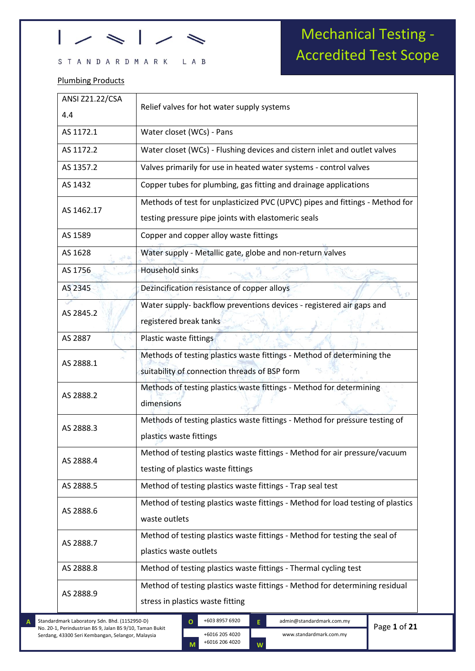### $\rightarrow$ ı

### STANDARDMARK LAB

### Plumbing Products

## Mechanical Testing - Accredited Test Scope

| ANSI Z21.22/CSA<br>4.4 | Relief valves for hot water supply systems                                                                                          |
|------------------------|-------------------------------------------------------------------------------------------------------------------------------------|
| AS 1172.1              | Water closet (WCs) - Pans                                                                                                           |
| AS 1172.2              | Water closet (WCs) - Flushing devices and cistern inlet and outlet valves                                                           |
| AS 1357.2              | Valves primarily for use in heated water systems - control valves                                                                   |
| AS 1432                | Copper tubes for plumbing, gas fitting and drainage applications                                                                    |
| AS 1462.17             | Methods of test for unplasticized PVC (UPVC) pipes and fittings - Method for<br>testing pressure pipe joints with elastomeric seals |
| AS 1589                | Copper and copper alloy waste fittings                                                                                              |
| AS 1628                | Water supply - Metallic gate, globe and non-return valves                                                                           |
| AS 1756                | <b>Household sinks</b>                                                                                                              |
| AS 2345                | Dezincification resistance of copper alloys                                                                                         |
| AS 2845.2              | Water supply- backflow preventions devices - registered air gaps and<br>registered break tanks                                      |
| AS 2887                | Plastic waste fittings                                                                                                              |
| AS 2888.1              | Methods of testing plastics waste fittings - Method of determining the<br>suitability of connection threads of BSP form             |
| AS 2888.2              | Methods of testing plastics waste fittings - Method for determining<br>dimensions                                                   |
| AS 2888.3              | Methods of testing plastics waste fittings - Method for pressure testing of<br>plastics waste fittings                              |
| AS 2888.4              | Method of testing plastics waste fittings - Method for air pressure/vacuum<br>testing of plastics waste fittings                    |
| AS 2888.5              | Method of testing plastics waste fittings - Trap seal test                                                                          |
| AS 2888.6              | Method of testing plastics waste fittings - Method for load testing of plastics<br>waste outlets                                    |
| AS 2888.7              | Method of testing plastics waste fittings - Method for testing the seal of<br>plastics waste outlets                                |
| AS 2888.8              | Method of testing plastics waste fittings - Thermal cycling test                                                                    |
| AS 2888.9              | Method of testing plastics waste fittings - Method for determining residual                                                         |

No. 20-1, Perindustrian BS 9, Jalan BS 9/10, Taman Bukit Serdang, 43300 Seri Kembangan, Selangor, Malaysia

kkjkkj

+6016 205 4020 +6016 206 4020 **W O M**

Page **1** of **21**

www.standardmark.com.my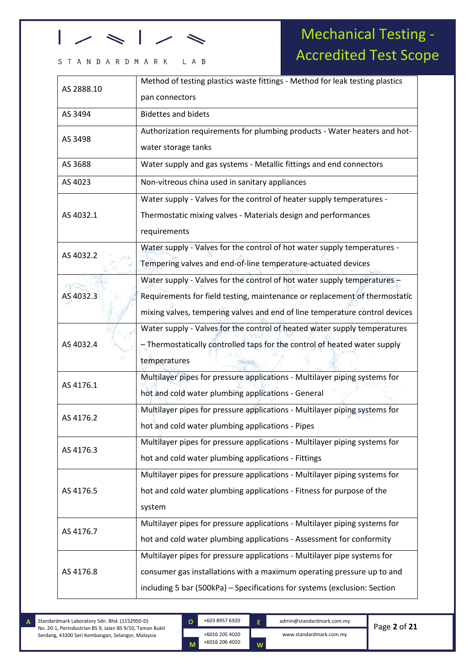### STANDARDMARK LAB

## Mechanical Testing - Accredited Test Scope

| AS 2888.10 | Method of testing plastics waste fittings - Method for leak testing plastics |
|------------|------------------------------------------------------------------------------|
|            | pan connectors                                                               |
| AS 3494    | <b>Bidettes and bidets</b>                                                   |
| AS 3498    | Authorization requirements for plumbing products - Water heaters and hot-    |
|            | water storage tanks                                                          |
| AS 3688    | Water supply and gas systems - Metallic fittings and end connectors          |
| AS 4023    | Non-vitreous china used in sanitary appliances                               |
|            | Water supply - Valves for the control of heater supply temperatures -        |
| AS 4032.1  | Thermostatic mixing valves - Materials design and performances               |
|            | requirements                                                                 |
| AS 4032.2  | Water supply - Valves for the control of hot water supply temperatures -     |
|            | Tempering valves and end-of-line temperature-actuated devices                |
|            | Water supply - Valves for the control of hot water supply temperatures -     |
| AS 4032.3  | Requirements for field testing, maintenance or replacement of thermostatic   |
|            | mixing valves, tempering valves and end of line temperature control devices  |
|            | Water supply - Valves for the control of heated water supply temperatures    |
| AS 4032.4  | - Thermostatically controlled taps for the control of heated water supply    |
|            | temperatures                                                                 |
| AS 4176.1  | Multilayer pipes for pressure applications - Multilayer piping systems for   |
|            | hot and cold water plumbing applications - General                           |
| AS 4176.2  | Multilayer pipes for pressure applications - Multilayer piping systems for   |
|            | hot and cold water plumbing applications - Pipes                             |
| AS 4176.3  | Multilayer pipes for pressure applications - Multilayer piping systems for   |
|            | hot and cold water plumbing applications - Fittings                          |
|            | Multilayer pipes for pressure applications - Multilayer piping systems for   |
| AS 4176.5  | hot and cold water plumbing applications - Fitness for purpose of the        |
|            | system                                                                       |
| AS 4176.7  | Multilayer pipes for pressure applications - Multilayer piping systems for   |
|            | hot and cold water plumbing applications - Assessment for conformity         |
|            | Multilayer pipes for pressure applications - Multilayer pipe systems for     |
| AS 4176.8  | consumer gas installations with a maximum operating pressure up to and       |
|            | including 5 bar (500kPa) - Specifications for systems (exclusion: Section    |

Standardmark Laboratory Sdn. Bhd. (1152950-D) No. 20-1, Perindustrian BS 9, Jalan BS 9/10, Taman Bukit Serdang, 43300 Seri Kembangan, Selangor, Malaysia

**A**

kkjkkj

+6016 205 4020 +6016 206 4020 **O**

**M**

**E**

**W**

+603 8957 6920 admin@standardmark.com.my www.standardmark.com.my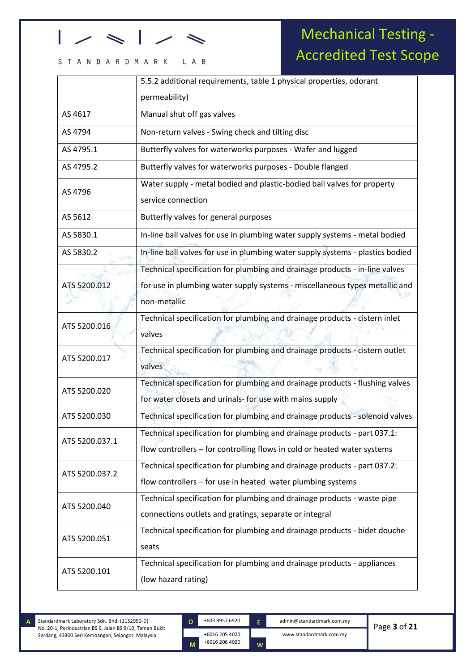#### L A B STANDARDMARK

## Mechanical Testing - Accredited Test Scope

|                | 5.5.2 additional requirements, table 1 physical properties, odorant                                                                                  |
|----------------|------------------------------------------------------------------------------------------------------------------------------------------------------|
|                | permeability)                                                                                                                                        |
| AS 4617        | Manual shut off gas valves                                                                                                                           |
| AS 4794        | Non-return valves - Swing check and tilting disc                                                                                                     |
| AS 4795.1      | Butterfly valves for waterworks purposes - Wafer and lugged                                                                                          |
| AS 4795.2      | Butterfly valves for waterworks purposes - Double flanged                                                                                            |
| AS 4796        | Water supply - metal bodied and plastic-bodied ball valves for property<br>service connection                                                        |
| AS 5612        | Butterfly valves for general purposes                                                                                                                |
| AS 5830.1      | In-line ball valves for use in plumbing water supply systems - metal bodied                                                                          |
| AS 5830.2      | In-line ball valves for use in plumbing water supply systems - plastics bodied                                                                       |
|                | Technical specification for plumbing and drainage products - in-line valves                                                                          |
| ATS 5200.012   | for use in plumbing water supply systems - miscellaneous types metallic and                                                                          |
|                | non-metallic                                                                                                                                         |
| ATS 5200.016   | Technical specification for plumbing and drainage products - cistern inlet<br>valves                                                                 |
| ATS 5200.017   | Technical specification for plumbing and drainage products - cistern outlet<br>valves                                                                |
| ATS 5200.020   | Technical specification for plumbing and drainage products - flushing valves<br>for water closets and urinals- for use with mains supply             |
| ATS 5200.030   | Technical specification for plumbing and drainage products - solenoid valves                                                                         |
| ATS 5200.037.1 | Technical specification for plumbing and drainage products - part 037.1:<br>flow controllers - for controlling flows in cold or heated water systems |
| ATS 5200.037.2 | Technical specification for plumbing and drainage products - part 037.2:<br>flow controllers - for use in heated water plumbing systems              |
| ATS 5200.040   | Technical specification for plumbing and drainage products - waste pipe                                                                              |
|                | connections outlets and gratings, separate or integral                                                                                               |
| ATS 5200.051   | Technical specification for plumbing and drainage products - bidet douche<br>seats                                                                   |
|                | Technical specification for plumbing and drainage products - appliances                                                                              |
| ATS 5200.101   | (low hazard rating)                                                                                                                                  |

kkjkkj

+6016 205 4020 **O**

**M**

+6016 206 4020

**E**

**W**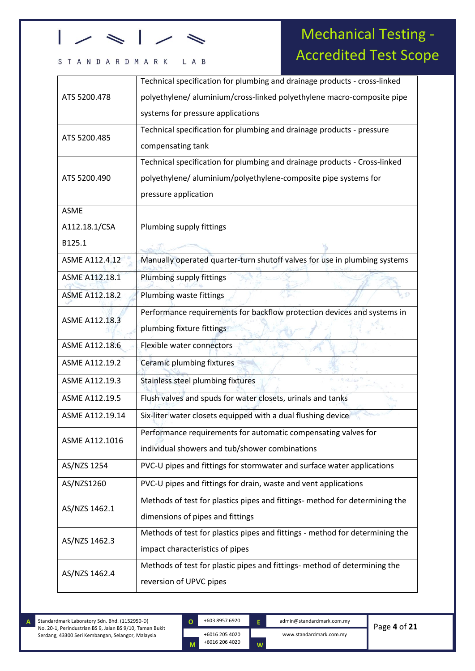# 

#### L A B STANDARDMARK

## Mechanical Testing - Accredited Test Scope

| ATS 5200.478          | Technical specification for plumbing and drainage products - cross-linked    |
|-----------------------|------------------------------------------------------------------------------|
|                       | polyethylene/aluminium/cross-linked polyethylene macro-composite pipe        |
|                       | systems for pressure applications                                            |
| ATS 5200.485          | Technical specification for plumbing and drainage products - pressure        |
|                       | compensating tank                                                            |
|                       | Technical specification for plumbing and drainage products - Cross-linked    |
| ATS 5200.490          | polyethylene/aluminium/polyethylene-composite pipe systems for               |
|                       | pressure application                                                         |
| <b>ASME</b>           |                                                                              |
| A112.18.1/CSA         | Plumbing supply fittings                                                     |
| B125.1                |                                                                              |
| ASME A112.4.12        | Manually operated quarter-turn shutoff valves for use in plumbing systems    |
| ASME A112.18.1        | Plumbing supply fittings                                                     |
| <b>ASME A112.18.2</b> | Plumbing waste fittings                                                      |
|                       | Performance requirements for backflow protection devices and systems in      |
| ASME A112.18.3        | plumbing fixture fittings                                                    |
| ASME A112.18.6        | Flexible water connectors                                                    |
| ASME A112.19.2        | Ceramic plumbing fixtures                                                    |
| ASME A112.19.3        | Stainless steel plumbing fixtures                                            |
| ASME A112.19.5        | Flush valves and spuds for water closets, urinals and tanks                  |
| ASME A112.19.14       | Six-liter water closets equipped with a dual flushing device                 |
| ASME A112.1016        | Performance requirements for automatic compensating valves for               |
|                       | individual showers and tub/shower combinations                               |
| AS/NZS 1254           | PVC-U pipes and fittings for stormwater and surface water applications       |
| AS/NZS1260            | PVC-U pipes and fittings for drain, waste and vent applications              |
|                       | Methods of test for plastics pipes and fittings- method for determining the  |
| AS/NZS 1462.1         | dimensions of pipes and fittings                                             |
|                       | Methods of test for plastics pipes and fittings - method for determining the |
| AS/NZS 1462.3         | impact characteristics of pipes                                              |
|                       | Methods of test for plastic pipes and fittings- method of determining the    |
| AS/NZS 1462.4         | reversion of UPVC pipes                                                      |
|                       |                                                                              |

kkjkkj

+6016 205 4020 +6016 206 4020 **O**

**M**

**E**

**W**

+603 8957 6920 admin@standardmark.com.my www.standardmark.com.my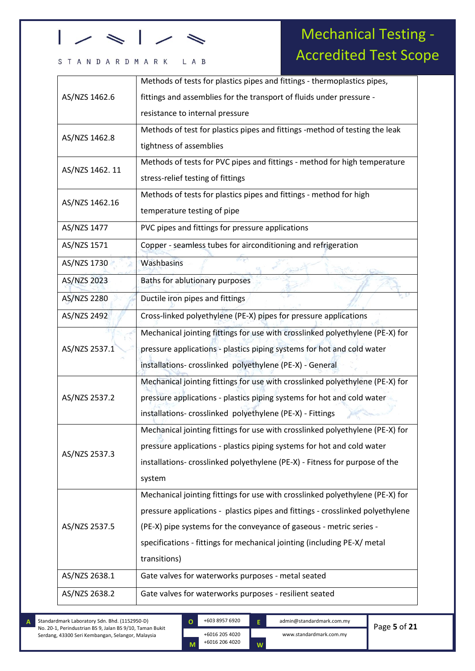#### L A B STANDARDMARK

## Mechanical Testing - Accredited Test Scope

|                 | Methods of tests for plastics pipes and fittings - thermoplastics pipes,       |
|-----------------|--------------------------------------------------------------------------------|
| AS/NZS 1462.6   | fittings and assemblies for the transport of fluids under pressure -           |
|                 | resistance to internal pressure                                                |
| AS/NZS 1462.8   | Methods of test for plastics pipes and fittings -method of testing the leak    |
|                 | tightness of assemblies                                                        |
| AS/NZS 1462. 11 | Methods of tests for PVC pipes and fittings - method for high temperature      |
|                 | stress-relief testing of fittings                                              |
| AS/NZS 1462.16  | Methods of tests for plastics pipes and fittings - method for high             |
|                 | temperature testing of pipe                                                    |
| AS/NZS 1477     | PVC pipes and fittings for pressure applications                               |
| AS/NZS 1571     | Copper - seamless tubes for airconditioning and refrigeration                  |
| AS/NZS 1730     | Washbasins                                                                     |
| AS/NZS 2023     | Baths for ablutionary purposes                                                 |
| AS/NZS 2280     | Ductile iron pipes and fittings                                                |
| AS/NZS 2492     | Cross-linked polyethylene (PE-X) pipes for pressure applications               |
|                 | Mechanical jointing fittings for use with crosslinked polyethylene (PE-X) for  |
| AS/NZS 2537.1   | pressure applications - plastics piping systems for hot and cold water         |
|                 | installations-crosslinked polyethylene (PE-X) - General                        |
|                 | Mechanical jointing fittings for use with crosslinked polyethylene (PE-X) for  |
| AS/NZS 2537.2   | pressure applications - plastics piping systems for hot and cold water         |
|                 | installations-crosslinked polyethylene (PE-X) - Fittings                       |
|                 | Mechanical jointing fittings for use with crosslinked polyethylene (PE-X) for  |
| AS/NZS 2537.3   | pressure applications - plastics piping systems for hot and cold water         |
|                 | installations- crosslinked polyethylene (PE-X) - Fitness for purpose of the    |
|                 | system                                                                         |
|                 | Mechanical jointing fittings for use with crosslinked polyethylene (PE-X) for  |
| AS/NZS 2537.5   | pressure applications - plastics pipes and fittings - crosslinked polyethylene |
|                 | (PE-X) pipe systems for the conveyance of gaseous - metric series -            |
|                 | specifications - fittings for mechanical jointing (including PE-X/ metal       |
|                 | transitions)                                                                   |
| AS/NZS 2638.1   | Gate valves for waterworks purposes - metal seated                             |
| AS/NZS 2638.2   | Gate valves for waterworks purposes - resilient seated                         |

Standardmark Laboratory Sdn. Bhd. (1152950-D) No. 20-1, Perindustrian BS 9, Jalan BS 9/10, Taman Bukit Serdang, 43300 Seri Kembangan, Selangor, Malaysia

kkjkkj

+6016 205 4020 +6016 206 4020 **O M**

+603 8957 6920 admin@standardmark.com.my **E**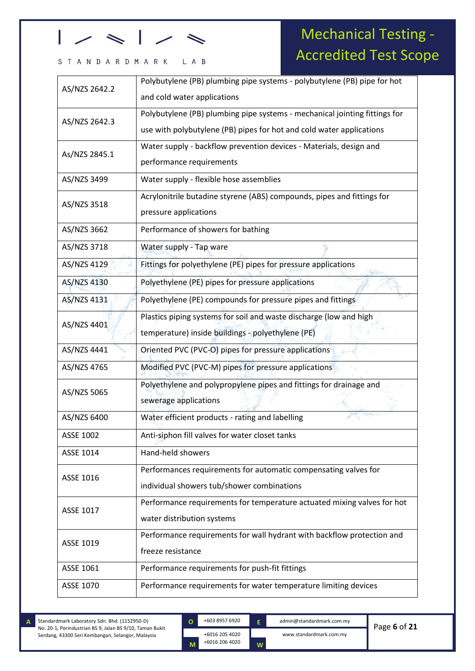# 

### STANDARDMARK LAB

## Mechanical Testing - Accredited Test Scope

| Polybutylene (PB) plumbing pipe systems - polybutylene (PB) pipe for hot                    |
|---------------------------------------------------------------------------------------------|
|                                                                                             |
| and cold water applications                                                                 |
| Polybutylene (PB) plumbing pipe systems - mechanical jointing fittings for                  |
| use with polybutylene (PB) pipes for hot and cold water applications                        |
| Water supply - backflow prevention devices - Materials, design and                          |
| performance requirements                                                                    |
| Water supply - flexible hose assemblies                                                     |
| Acrylonitrile butadine styrene (ABS) compounds, pipes and fittings for                      |
| pressure applications                                                                       |
| Performance of showers for bathing                                                          |
| Water supply - Tap ware                                                                     |
| Fittings for polyethylene (PE) pipes for pressure applications                              |
| Polyethylene (PE) pipes for pressure applications                                           |
| Polyethylene (PE) compounds for pressure pipes and fittings                                 |
| Plastics piping systems for soil and waste discharge (low and high                          |
| temperature) inside buildings - polyethylene (PE)                                           |
| Oriented PVC (PVC-O) pipes for pressure applications                                        |
| Modified PVC (PVC-M) pipes for pressure applications                                        |
| Polyethylene and polypropylene pipes and fittings for drainage and                          |
| sewerage applications                                                                       |
| Water efficient products - rating and labelling                                             |
|                                                                                             |
| Anti-siphon fill valves for water closet tanks                                              |
| Hand-held showers                                                                           |
| Performances requirements for automatic compensating valves for                             |
| individual showers tub/shower combinations                                                  |
| Performance requirements for temperature actuated mixing valves for hot                     |
| water distribution systems                                                                  |
|                                                                                             |
| Performance requirements for wall hydrant with backflow protection and<br>freeze resistance |
| Performance requirements for push-fit fittings                                              |
|                                                                                             |
|                                                                                             |

kkjkkj



**E**

**W**

+603 8957 6920 admin@standardmark.com.my www.standardmark.com.my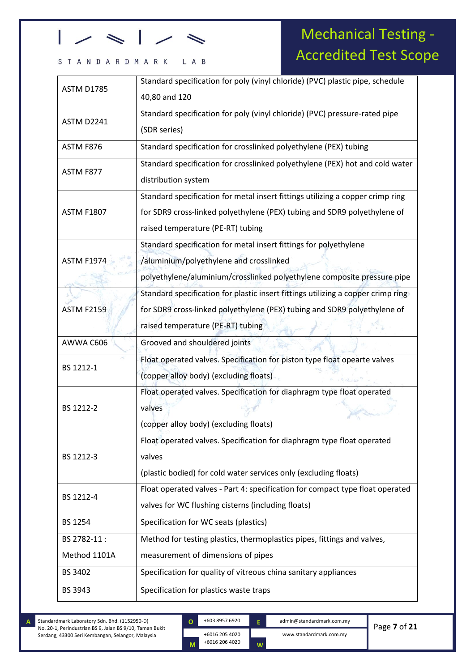### STANDARDMARK LAB

## Mechanical Testing - Accredited Test Scope

| <b>ASTM D1785</b> | Standard specification for poly (vinyl chloride) (PVC) plastic pipe, schedule    |
|-------------------|----------------------------------------------------------------------------------|
|                   | 40,80 and 120                                                                    |
| ASTM D2241        | Standard specification for poly (vinyl chloride) (PVC) pressure-rated pipe       |
|                   | (SDR series)                                                                     |
| ASTM F876         | Standard specification for crosslinked polyethylene (PEX) tubing                 |
| ASTM F877         | Standard specification for crosslinked polyethylene (PEX) hot and cold water     |
|                   | distribution system                                                              |
|                   | Standard specification for metal insert fittings utilizing a copper crimp ring   |
| <b>ASTM F1807</b> | for SDR9 cross-linked polyethylene (PEX) tubing and SDR9 polyethylene of         |
|                   | raised temperature (PE-RT) tubing                                                |
|                   | Standard specification for metal insert fittings for polyethylene                |
| <b>ASTM F1974</b> | /aluminium/polyethylene and crosslinked                                          |
|                   | polyethylene/aluminium/crosslinked polyethylene composite pressure pipe          |
|                   | Standard specification for plastic insert fittings utilizing a copper crimp ring |
| <b>ASTM F2159</b> | for SDR9 cross-linked polyethylene (PEX) tubing and SDR9 polyethylene of         |
|                   | raised temperature (PE-RT) tubing                                                |
| AWWA C606         | Grooved and shouldered joints                                                    |
| BS 1212-1         | Float operated valves. Specification for piston type float opearte valves        |
|                   | (copper alloy body) (excluding floats)                                           |
|                   | Float operated valves. Specification for diaphragm type float operated           |
| BS 1212-2         | valves                                                                           |
|                   | (copper alloy body) (excluding floats)                                           |
|                   | Float operated valves. Specification for diaphragm type float operated           |
| BS 1212-3         | valves                                                                           |
|                   | (plastic bodied) for cold water services only (excluding floats)                 |
| BS 1212-4         | Float operated valves - Part 4: specification for compact type float operated    |
|                   | valves for WC flushing cisterns (including floats)                               |
| BS 1254           | Specification for WC seats (plastics)                                            |
| BS 2782-11:       | Method for testing plastics, thermoplastics pipes, fittings and valves,          |
| Method 1101A      | measurement of dimensions of pipes                                               |
| BS 3402           | Specification for quality of vitreous china sanitary appliances                  |
| BS 3943           | Specification for plastics waste traps                                           |
|                   |                                                                                  |

kkjkkj



**E**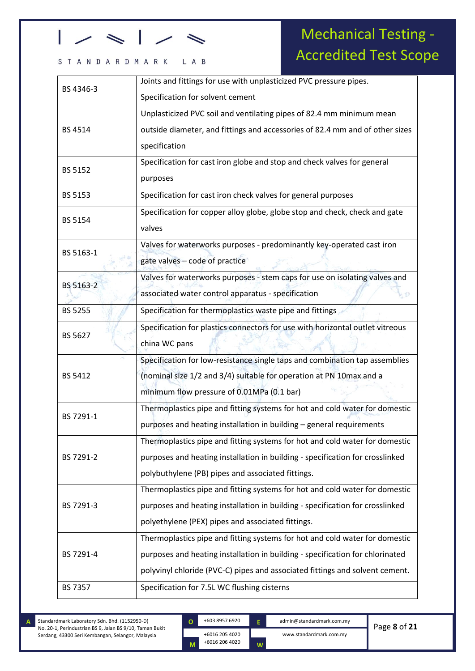### STANDARDMARK LAB

## Mechanical Testing - Accredited Test Scope

| BS 4346-3      | Joints and fittings for use with unplasticized PVC pressure pipes.            |
|----------------|-------------------------------------------------------------------------------|
|                | Specification for solvent cement                                              |
| <b>BS 4514</b> | Unplasticized PVC soil and ventilating pipes of 82.4 mm minimum mean          |
|                | outside diameter, and fittings and accessories of 82.4 mm and of other sizes  |
|                | specification                                                                 |
|                | Specification for cast iron globe and stop and check valves for general       |
| BS 5152        | purposes                                                                      |
| <b>BS 5153</b> | Specification for cast iron check valves for general purposes                 |
|                | Specification for copper alloy globe, globe stop and check, check and gate    |
| <b>BS 5154</b> | valves                                                                        |
| BS 5163-1      | Valves for waterworks purposes - predominantly key-operated cast iron         |
|                | gate valves - code of practice                                                |
| BS 5163-2      | Valves for waterworks purposes - stem caps for use on isolating valves and    |
|                | associated water control apparatus - specification                            |
| <b>BS 5255</b> | Specification for thermoplastics waste pipe and fittings                      |
| BS 5627        | Specification for plastics connectors for use with horizontal outlet vitreous |
|                | china WC pans                                                                 |
|                | Specification for low-resistance single taps and combination tap assemblies   |
| <b>BS 5412</b> | (nominal size 1/2 and 3/4) suitable for operation at PN 10max and a           |
|                | minimum flow pressure of 0.01MPa (0.1 bar)                                    |
| BS 7291-1      | Thermoplastics pipe and fitting systems for hot and cold water for domestic   |
|                | purposes and heating installation in building - general requirements          |
|                | Thermoplastics pipe and fitting systems for hot and cold water for domestic   |
| BS 7291-2      | purposes and heating installation in building - specification for crosslinked |
|                | polybuthylene (PB) pipes and associated fittings.                             |
| BS 7291-3      | Thermoplastics pipe and fitting systems for hot and cold water for domestic   |
|                | purposes and heating installation in building - specification for crosslinked |
|                | polyethylene (PEX) pipes and associated fittings.                             |
|                | Thermoplastics pipe and fitting systems for hot and cold water for domestic   |
| BS 7291-4      | purposes and heating installation in building - specification for chlorinated |
|                | polyvinyl chloride (PVC-C) pipes and associated fittings and solvent cement.  |
| <b>BS 7357</b> | Specification for 7.5L WC flushing cisterns                                   |

Standardmark Laboratory Sdn. Bhd. (1152950-D) No. 20-1, Perindustrian BS 9, Jalan BS 9/10, Taman Bukit Serdang, 43300 Seri Kembangan, Selangor, Malaysia **A**

kkjkkj

+6016 205 4020 +6016 206 4020 **O**

**M**

+603 8957 6920 admin@standardmark.com.my **E**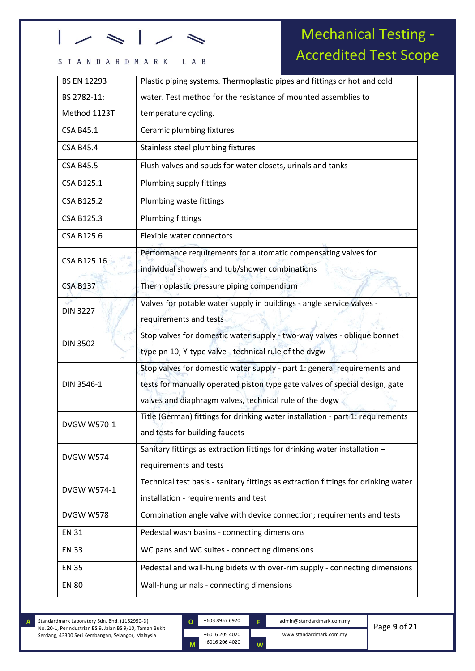### STANDARDMARK LAB

## Mechanical Testing - Accredited Test Scope

| <b>BS EN 12293</b> | Plastic piping systems. Thermoplastic pipes and fittings or hot and cold           |
|--------------------|------------------------------------------------------------------------------------|
| BS 2782-11:        | water. Test method for the resistance of mounted assemblies to                     |
| Method 1123T       | temperature cycling.                                                               |
| <b>CSA B45.1</b>   | Ceramic plumbing fixtures                                                          |
| <b>CSA B45.4</b>   | Stainless steel plumbing fixtures                                                  |
| <b>CSA B45.5</b>   | Flush valves and spuds for water closets, urinals and tanks                        |
| CSA B125.1         | Plumbing supply fittings                                                           |
| <b>CSA B125.2</b>  | Plumbing waste fittings                                                            |
| <b>CSA B125.3</b>  | <b>Plumbing fittings</b>                                                           |
| CSA B125.6         | Flexible water connectors                                                          |
| CSA B125.16        | Performance requirements for automatic compensating valves for                     |
|                    | individual showers and tub/shower combinations                                     |
| <b>CSA B137</b>    | Thermoplastic pressure piping compendium                                           |
| <b>DIN 3227</b>    | Valves for potable water supply in buildings - angle service valves -              |
|                    | requirements and tests                                                             |
| <b>DIN 3502</b>    | Stop valves for domestic water supply - two-way valves - oblique bonnet            |
|                    | type pn 10; Y-type valve - technical rule of the dvgw                              |
|                    | Stop valves for domestic water supply - part 1: general requirements and           |
| DIN 3546-1         | tests for manually operated piston type gate valves of special design, gate        |
|                    | valves and diaphragm valves, technical rule of the dvgw                            |
| DVGW W570-1        | Title (German) fittings for drinking water installation - part 1: requirements     |
|                    | and tests for building faucets                                                     |
| <b>DVGW W574</b>   | Sanitary fittings as extraction fittings for drinking water installation -         |
|                    | requirements and tests                                                             |
| <b>DVGW W574-1</b> | Technical test basis - sanitary fittings as extraction fittings for drinking water |
|                    | installation - requirements and test                                               |
| <b>DVGW W578</b>   | Combination angle valve with device connection; requirements and tests             |
| <b>EN 31</b>       | Pedestal wash basins - connecting dimensions                                       |
| <b>EN 33</b>       | WC pans and WC suites - connecting dimensions                                      |
| <b>EN 35</b>       | Pedestal and wall-hung bidets with over-rim supply - connecting dimensions         |
| <b>EN 80</b>       | Wall-hung urinals - connecting dimensions                                          |

Standardmark Laboratory Sdn. Bhd. (1152950-D) No. 20-1, Perindustrian BS 9, Jalan BS 9/10, Taman Bukit Serdang, 43300 Seri Kembangan, Selangor, Malaysia

**A**

kkjkkj

+6016 205 4020 +6016 206 4020 **O M**

**E**

**W**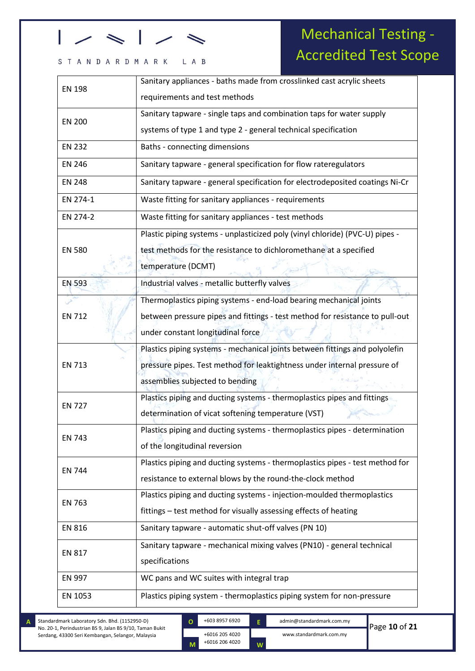### STANDARDMARK LAB

## Mechanical Testing - Accredited Test Scope

| <b>EN 198</b> | Sanitary appliances - baths made from crosslinked cast acrylic sheets                                                                                                                      |
|---------------|--------------------------------------------------------------------------------------------------------------------------------------------------------------------------------------------|
|               | requirements and test methods                                                                                                                                                              |
| <b>EN 200</b> | Sanitary tapware - single taps and combination taps for water supply                                                                                                                       |
|               | systems of type 1 and type 2 - general technical specification                                                                                                                             |
| <b>EN 232</b> | Baths - connecting dimensions                                                                                                                                                              |
| <b>EN 246</b> | Sanitary tapware - general specification for flow rateregulators                                                                                                                           |
| <b>EN 248</b> | Sanitary tapware - general specification for electrodeposited coatings Ni-Cr                                                                                                               |
| EN 274-1      | Waste fitting for sanitary appliances - requirements                                                                                                                                       |
| EN 274-2      | Waste fitting for sanitary appliances - test methods                                                                                                                                       |
| <b>EN 580</b> | Plastic piping systems - unplasticized poly (vinyl chloride) (PVC-U) pipes -<br>test methods for the resistance to dichloromethane at a specified<br>temperature (DCMT)                    |
| <b>EN 593</b> | Industrial valves - metallic butterfly valves                                                                                                                                              |
| <b>EN 712</b> | Thermoplastics piping systems - end-load bearing mechanical joints<br>between pressure pipes and fittings - test method for resistance to pull-out<br>under constant longitudinal force    |
| <b>EN 713</b> | Plastics piping systems - mechanical joints between fittings and polyolefin<br>pressure pipes. Test method for leaktightness under internal pressure of<br>assemblies subjected to bending |
| <b>EN 727</b> | Plastics piping and ducting systems - thermoplastics pipes and fittings<br>determination of vicat softening temperature (VST)                                                              |
| <b>EN 743</b> | Plastics piping and ducting systems - thermoplastics pipes - determination<br>of the longitudinal reversion                                                                                |
| <b>EN 744</b> | Plastics piping and ducting systems - thermoplastics pipes - test method for<br>resistance to external blows by the round-the-clock method                                                 |
| <b>EN 763</b> | Plastics piping and ducting systems - injection-moulded thermoplastics<br>fittings - test method for visually assessing effects of heating                                                 |
| <b>EN 816</b> | Sanitary tapware - automatic shut-off valves (PN 10)                                                                                                                                       |
| <b>EN 817</b> | Sanitary tapware - mechanical mixing valves (PN10) - general technical<br>specifications                                                                                                   |
| EN 997        | WC pans and WC suites with integral trap                                                                                                                                                   |
| EN 1053       | Plastics piping system - thermoplastics piping system for non-pressure                                                                                                                     |

Standardmark Laboratory Sdn. Bhd. (1152950-D) No. 20-1, Perindustrian BS 9, Jalan BS 9/10, Taman Bukit Serdang, 43300 Seri Kembangan, Selangor, Malaysia **A**

kkjkkj

+6016 205 4020 +6016 206 4020 **O M**

+603 8957 6920 admin@standardmark.com.my www.standardmark.com.my **E**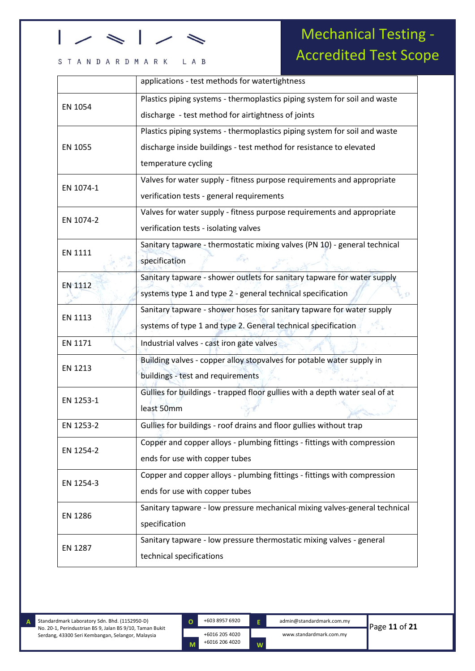### STANDARDMARK LAB

## Mechanical Testing - Accredited Test Scope

|                | applications - test methods for watertightness                              |
|----------------|-----------------------------------------------------------------------------|
| EN 1054        | Plastics piping systems - thermoplastics piping system for soil and waste   |
|                | discharge - test method for airtightness of joints                          |
|                | Plastics piping systems - thermoplastics piping system for soil and waste   |
| EN 1055        | discharge inside buildings - test method for resistance to elevated         |
|                | temperature cycling                                                         |
| EN 1074-1      | Valves for water supply - fitness purpose requirements and appropriate      |
|                | verification tests - general requirements                                   |
| EN 1074-2      | Valves for water supply - fitness purpose requirements and appropriate      |
|                | verification tests - isolating valves                                       |
| EN 1111        | Sanitary tapware - thermostatic mixing valves (PN 10) - general technical   |
|                | specification                                                               |
| <b>EN 1112</b> | Sanitary tapware - shower outlets for sanitary tapware for water supply     |
|                | systems type 1 and type 2 - general technical specification                 |
| EN 1113        | Sanitary tapware - shower hoses for sanitary tapware for water supply       |
|                | systems of type 1 and type 2. General technical specification               |
| EN 1171        | Industrial valves - cast iron gate valves                                   |
| EN 1213        | Building valves - copper alloy stopvalves for potable water supply in       |
|                | buildings - test and requirements                                           |
| EN 1253-1      | Gullies for buildings - trapped floor gullies with a depth water seal of at |
|                | least 50mm                                                                  |
| EN 1253-2      | Gullies for buildings - roof drains and floor gullies without trap          |
|                | Copper and copper alloys - plumbing fittings - fittings with compression    |
| EN 1254-2      | ends for use with copper tubes                                              |
| EN 1254-3      | Copper and copper alloys - plumbing fittings - fittings with compression    |
|                | ends for use with copper tubes                                              |
|                | Sanitary tapware - low pressure mechanical mixing valves-general technical  |
| <b>EN 1286</b> | specification                                                               |
| EN 1287        | Sanitary tapware - low pressure thermostatic mixing valves - general        |
|                | technical specifications                                                    |

**A**

kkjkkj

**O**

**M**

+6016 205 4020 +6016 206 4020

**E**

**W**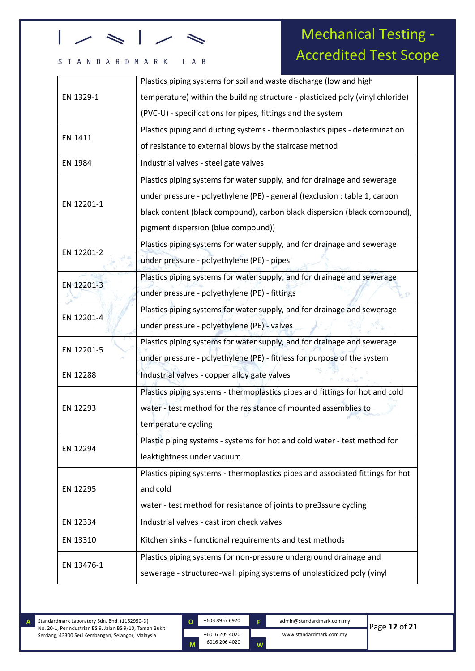#### L A B STANDARDMARK

## Mechanical Testing - Accredited Test Scope

| EN 1329-1  | Plastics piping systems for soil and waste discharge (low and high             |
|------------|--------------------------------------------------------------------------------|
|            | temperature) within the building structure - plasticized poly (vinyl chloride) |
|            | (PVC-U) - specifications for pipes, fittings and the system                    |
| EN 1411    | Plastics piping and ducting systems - thermoplastics pipes - determination     |
|            | of resistance to external blows by the staircase method                        |
| EN 1984    | Industrial valves - steel gate valves                                          |
|            | Plastics piping systems for water supply, and for drainage and sewerage        |
| EN 12201-1 | under pressure - polyethylene (PE) - general ((exclusion : table 1, carbon     |
|            | black content (black compound), carbon black dispersion (black compound),      |
|            | pigment dispersion (blue compound))                                            |
| EN 12201-2 | Plastics piping systems for water supply, and for drainage and sewerage        |
|            | under pressure - polyethylene (PE) - pipes                                     |
| EN 12201-3 | Plastics piping systems for water supply, and for drainage and sewerage        |
|            | under pressure - polyethylene (PE) - fittings                                  |
| EN 12201-4 | Plastics piping systems for water supply, and for drainage and sewerage        |
|            | under pressure - polyethylene (PE) - valves                                    |
| EN 12201-5 | Plastics piping systems for water supply, and for drainage and sewerage        |
|            | under pressure - polyethylene (PE) - fitness for purpose of the system         |
| EN 12288   | Industrial valves - copper alloy gate valves                                   |
|            | Plastics piping systems - thermoplastics pipes and fittings for hot and cold   |
| EN 12293   | water - test method for the resistance of mounted assemblies to                |
|            | temperature cycling                                                            |
| EN 12294   | Plastic piping systems - systems for hot and cold water - test method for      |
|            | leaktightness under vacuum                                                     |
|            | Plastics piping systems - thermoplastics pipes and associated fittings for hot |
| EN 12295   | and cold                                                                       |
|            | water - test method for resistance of joints to pre3ssure cycling              |
| EN 12334   | Industrial valves - cast iron check valves                                     |
| EN 13310   | Kitchen sinks - functional requirements and test methods                       |
| EN 13476-1 | Plastics piping systems for non-pressure underground drainage and              |
|            | sewerage - structured-wall piping systems of unplasticized poly (vinyl         |

Standardmark Laboratory Sdn. Bhd. (1152950-D) No. 20-1, Perindustrian BS 9, Jalan BS 9/10, Taman Bukit Serdang, 43300 Seri Kembangan, Selangor, Malaysia

**A**

kkjkkj

**O**

**M**

+6016 205 4020 +6016 206 4020

**W**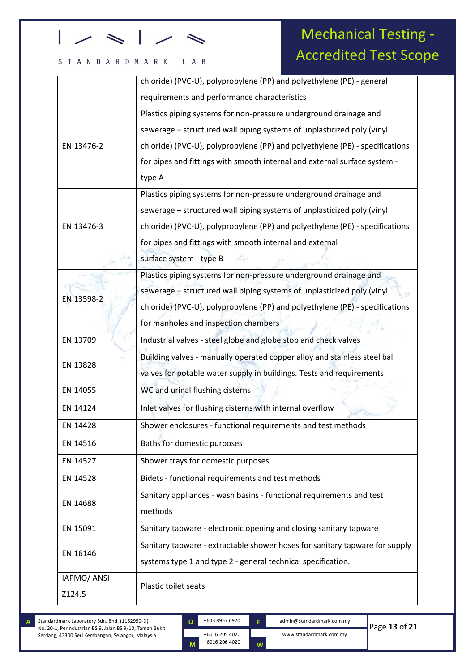#### L A B STANDARDMARK

## Mechanical Testing - Accredited Test Scope

|             | chloride) (PVC-U), polypropylene (PP) and polyethylene (PE) - general        |
|-------------|------------------------------------------------------------------------------|
|             | requirements and performance characteristics                                 |
|             | Plastics piping systems for non-pressure underground drainage and            |
|             | sewerage - structured wall piping systems of unplasticized poly (vinyl       |
| EN 13476-2  | chloride) (PVC-U), polypropylene (PP) and polyethylene (PE) - specifications |
|             | for pipes and fittings with smooth internal and external surface system -    |
|             | type A                                                                       |
|             | Plastics piping systems for non-pressure underground drainage and            |
|             | sewerage - structured wall piping systems of unplasticized poly (vinyl       |
| EN 13476-3  | chloride) (PVC-U), polypropylene (PP) and polyethylene (PE) - specifications |
|             | for pipes and fittings with smooth internal and external                     |
|             | surface system - type B<br>dig.                                              |
|             | Plastics piping systems for non-pressure underground drainage and            |
| EN 13598-2  | sewerage - structured wall piping systems of unplasticized poly (vinyl       |
|             | chloride) (PVC-U), polypropylene (PP) and polyethylene (PE) - specifications |
|             | for manholes and inspection chambers                                         |
| EN 13709    | Industrial valves - steel globe and globe stop and check valves              |
| EN 13828    | Building valves - manually operated copper alloy and stainless steel ball    |
|             | valves for potable water supply in buildings. Tests and requirements         |
| EN 14055    | WC and urinal flushing cisterns                                              |
| EN 14124    | Inlet valves for flushing cisterns with internal overflow                    |
| EN 14428    | Shower enclosures - functional requirements and test methods                 |
| EN 14516    | Baths for domestic purposes                                                  |
| EN 14527    | Shower trays for domestic purposes                                           |
| EN 14528    | Bidets - functional requirements and test methods                            |
| EN 14688    | Sanitary appliances - wash basins - functional requirements and test         |
|             | methods                                                                      |
| EN 15091    | Sanitary tapware - electronic opening and closing sanitary tapware           |
| EN 16146    | Sanitary tapware - extractable shower hoses for sanitary tapware for supply  |
|             | systems type 1 and type 2 - general technical specification.                 |
| IAPMO/ ANSI | Plastic toilet seats                                                         |
| Z124.5      |                                                                              |

Standardmark Laboratory Sdn. Bhd. (1152950-D) No. 20-1, Perindustrian BS 9, Jalan BS 9/10, Taman Bukit Serdang, 43300 Seri Kembangan, Selangor, Malaysia **A**

kkjkkj

+6016 205 4020 +6016 206 4020 **O**

**M**

**E**

**W**

+603 8957 6920 admin@standardmark.com.my www.standardmark.com.my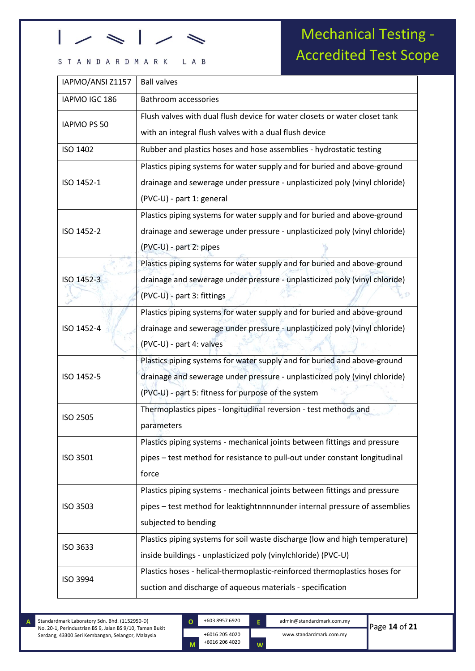### STANDARDMARK LAB

## Mechanical Testing - Accredited Test Scope

| IAPMO/ANSI Z1157   | <b>Ball valves</b>                                                          |
|--------------------|-----------------------------------------------------------------------------|
| IAPMO IGC 186      | <b>Bathroom accessories</b>                                                 |
|                    | Flush valves with dual flush device for water closets or water closet tank  |
| <b>IAPMO PS 50</b> | with an integral flush valves with a dual flush device                      |
| ISO 1402           | Rubber and plastics hoses and hose assemblies - hydrostatic testing         |
|                    | Plastics piping systems for water supply and for buried and above-ground    |
| ISO 1452-1         | drainage and sewerage under pressure - unplasticized poly (vinyl chloride)  |
|                    | (PVC-U) - part 1: general                                                   |
|                    | Plastics piping systems for water supply and for buried and above-ground    |
| ISO 1452-2         | drainage and sewerage under pressure - unplasticized poly (vinyl chloride)  |
|                    | (PVC-U) - part 2: pipes                                                     |
|                    | Plastics piping systems for water supply and for buried and above-ground    |
| ISO 1452-3         | drainage and sewerage under pressure - unplasticized poly (vinyl chloride)  |
|                    | (PVC-U) - part 3: fittings                                                  |
|                    | Plastics piping systems for water supply and for buried and above-ground    |
| ISO 1452-4         | drainage and sewerage under pressure - unplasticized poly (vinyl chloride)  |
|                    | (PVC-U) - part 4: valves                                                    |
|                    | Plastics piping systems for water supply and for buried and above-ground    |
| ISO 1452-5         | drainage and sewerage under pressure - unplasticized poly (vinyl chloride)  |
|                    | (PVC-U) - part 5: fitness for purpose of the system                         |
| ISO 2505           | Thermoplastics pipes - longitudinal reversion - test methods and            |
|                    | parameters                                                                  |
|                    | Plastics piping systems - mechanical joints between fittings and pressure   |
| ISO 3501           | pipes - test method for resistance to pull-out under constant longitudinal  |
|                    | force                                                                       |
|                    | Plastics piping systems - mechanical joints between fittings and pressure   |
| <b>ISO 3503</b>    | pipes - test method for leaktightnnnnunder internal pressure of assemblies  |
|                    | subjected to bending                                                        |
| ISO 3633           | Plastics piping systems for soil waste discharge (low and high temperature) |
|                    | inside buildings - unplasticized poly (vinylchloride) (PVC-U)               |
|                    | Plastics hoses - helical-thermoplastic-reinforced thermoplastics hoses for  |
| ISO 3994           | suction and discharge of aqueous materials - specification                  |

Standardmark Laboratory Sdn. Bhd. (1152950-D) No. 20-1, Perindustrian BS 9, Jalan BS 9/10, Taman Bukit Serdang, 43300 Seri Kembangan, Selangor, Malaysia

kkjkkj

+6016 205 4020 +6016 206 4020 **O M**

+603 8957 6920 admin@standardmark.com.my www.standardmark.com.my **E W**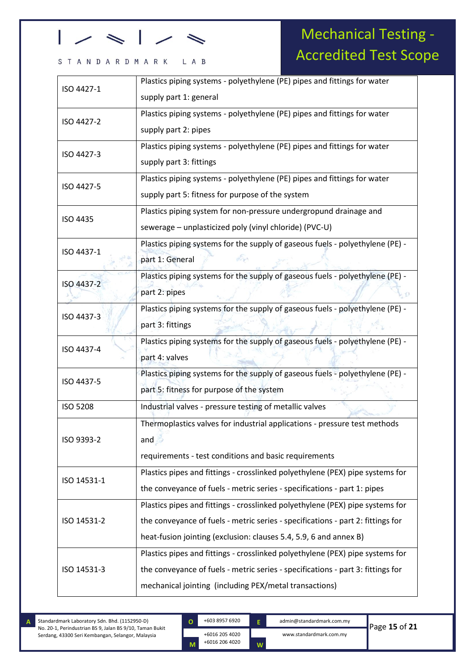### STANDARDMARK LAB

Mechanical Testing - Accredited Test Scope

| Plastics piping systems - polyethylene (PE) pipes and fittings for water<br>ISO 4427-1<br>supply part 1: general<br>Plastics piping systems - polyethylene (PE) pipes and fittings for water<br>ISO 4427-2<br>supply part 2: pipes<br>Plastics piping systems - polyethylene (PE) pipes and fittings for water<br>ISO 4427-3<br>supply part 3: fittings<br>Plastics piping systems - polyethylene (PE) pipes and fittings for water<br>ISO 4427-5<br>supply part 5: fitness for purpose of the system<br>Plastics piping system for non-pressure undergropund drainage and<br>ISO 4435<br>sewerage - unplasticized poly (vinyl chloride) (PVC-U)<br>Plastics piping systems for the supply of gaseous fuels - polyethylene (PE) -<br>ISO 4437-1<br>G.<br>part 1: General<br>Plastics piping systems for the supply of gaseous fuels - polyethylene (PE) -<br>ISO 4437-2<br>part 2: pipes<br>Plastics piping systems for the supply of gaseous fuels - polyethylene (PE) -<br>ISO 4437-3<br>part 3: fittings<br>Plastics piping systems for the supply of gaseous fuels - polyethylene (PE) -<br>ISO 4437-4<br>part 4: valves<br>Plastics piping systems for the supply of gaseous fuels - polyethylene (PE) -<br>ISO 4437-5<br>part 5: fitness for purpose of the system<br><b>ISO 5208</b><br>Industrial valves - pressure testing of metallic valves<br>Thermoplastics valves for industrial applications - pressure test methods<br>ISO 9393-2<br>and<br>requirements - test conditions and basic requirements<br>Plastics pipes and fittings - crosslinked polyethylene (PEX) pipe systems for<br>ISO 14531-1<br>the conveyance of fuels - metric series - specifications - part 1: pipes<br>Plastics pipes and fittings - crosslinked polyethylene (PEX) pipe systems for<br>the conveyance of fuels - metric series - specifications - part 2: fittings for<br>ISO 14531-2<br>heat-fusion jointing (exclusion: clauses 5.4, 5.9, 6 and annex B)<br>Plastics pipes and fittings - crosslinked polyethylene (PEX) pipe systems for<br>the conveyance of fuels - metric series - specifications - part 3: fittings for<br>ISO 14531-3<br>mechanical jointing (including PEX/metal transactions) |  |  |
|----------------------------------------------------------------------------------------------------------------------------------------------------------------------------------------------------------------------------------------------------------------------------------------------------------------------------------------------------------------------------------------------------------------------------------------------------------------------------------------------------------------------------------------------------------------------------------------------------------------------------------------------------------------------------------------------------------------------------------------------------------------------------------------------------------------------------------------------------------------------------------------------------------------------------------------------------------------------------------------------------------------------------------------------------------------------------------------------------------------------------------------------------------------------------------------------------------------------------------------------------------------------------------------------------------------------------------------------------------------------------------------------------------------------------------------------------------------------------------------------------------------------------------------------------------------------------------------------------------------------------------------------------------------------------------------------------------------------------------------------------------------------------------------------------------------------------------------------------------------------------------------------------------------------------------------------------------------------------------------------------------------------------------------------------------------------------------------------------------------------------------------------------------------------------------------------------|--|--|
|                                                                                                                                                                                                                                                                                                                                                                                                                                                                                                                                                                                                                                                                                                                                                                                                                                                                                                                                                                                                                                                                                                                                                                                                                                                                                                                                                                                                                                                                                                                                                                                                                                                                                                                                                                                                                                                                                                                                                                                                                                                                                                                                                                                                    |  |  |
|                                                                                                                                                                                                                                                                                                                                                                                                                                                                                                                                                                                                                                                                                                                                                                                                                                                                                                                                                                                                                                                                                                                                                                                                                                                                                                                                                                                                                                                                                                                                                                                                                                                                                                                                                                                                                                                                                                                                                                                                                                                                                                                                                                                                    |  |  |
|                                                                                                                                                                                                                                                                                                                                                                                                                                                                                                                                                                                                                                                                                                                                                                                                                                                                                                                                                                                                                                                                                                                                                                                                                                                                                                                                                                                                                                                                                                                                                                                                                                                                                                                                                                                                                                                                                                                                                                                                                                                                                                                                                                                                    |  |  |
|                                                                                                                                                                                                                                                                                                                                                                                                                                                                                                                                                                                                                                                                                                                                                                                                                                                                                                                                                                                                                                                                                                                                                                                                                                                                                                                                                                                                                                                                                                                                                                                                                                                                                                                                                                                                                                                                                                                                                                                                                                                                                                                                                                                                    |  |  |
|                                                                                                                                                                                                                                                                                                                                                                                                                                                                                                                                                                                                                                                                                                                                                                                                                                                                                                                                                                                                                                                                                                                                                                                                                                                                                                                                                                                                                                                                                                                                                                                                                                                                                                                                                                                                                                                                                                                                                                                                                                                                                                                                                                                                    |  |  |
|                                                                                                                                                                                                                                                                                                                                                                                                                                                                                                                                                                                                                                                                                                                                                                                                                                                                                                                                                                                                                                                                                                                                                                                                                                                                                                                                                                                                                                                                                                                                                                                                                                                                                                                                                                                                                                                                                                                                                                                                                                                                                                                                                                                                    |  |  |
|                                                                                                                                                                                                                                                                                                                                                                                                                                                                                                                                                                                                                                                                                                                                                                                                                                                                                                                                                                                                                                                                                                                                                                                                                                                                                                                                                                                                                                                                                                                                                                                                                                                                                                                                                                                                                                                                                                                                                                                                                                                                                                                                                                                                    |  |  |
|                                                                                                                                                                                                                                                                                                                                                                                                                                                                                                                                                                                                                                                                                                                                                                                                                                                                                                                                                                                                                                                                                                                                                                                                                                                                                                                                                                                                                                                                                                                                                                                                                                                                                                                                                                                                                                                                                                                                                                                                                                                                                                                                                                                                    |  |  |
|                                                                                                                                                                                                                                                                                                                                                                                                                                                                                                                                                                                                                                                                                                                                                                                                                                                                                                                                                                                                                                                                                                                                                                                                                                                                                                                                                                                                                                                                                                                                                                                                                                                                                                                                                                                                                                                                                                                                                                                                                                                                                                                                                                                                    |  |  |
|                                                                                                                                                                                                                                                                                                                                                                                                                                                                                                                                                                                                                                                                                                                                                                                                                                                                                                                                                                                                                                                                                                                                                                                                                                                                                                                                                                                                                                                                                                                                                                                                                                                                                                                                                                                                                                                                                                                                                                                                                                                                                                                                                                                                    |  |  |
|                                                                                                                                                                                                                                                                                                                                                                                                                                                                                                                                                                                                                                                                                                                                                                                                                                                                                                                                                                                                                                                                                                                                                                                                                                                                                                                                                                                                                                                                                                                                                                                                                                                                                                                                                                                                                                                                                                                                                                                                                                                                                                                                                                                                    |  |  |
|                                                                                                                                                                                                                                                                                                                                                                                                                                                                                                                                                                                                                                                                                                                                                                                                                                                                                                                                                                                                                                                                                                                                                                                                                                                                                                                                                                                                                                                                                                                                                                                                                                                                                                                                                                                                                                                                                                                                                                                                                                                                                                                                                                                                    |  |  |
|                                                                                                                                                                                                                                                                                                                                                                                                                                                                                                                                                                                                                                                                                                                                                                                                                                                                                                                                                                                                                                                                                                                                                                                                                                                                                                                                                                                                                                                                                                                                                                                                                                                                                                                                                                                                                                                                                                                                                                                                                                                                                                                                                                                                    |  |  |
|                                                                                                                                                                                                                                                                                                                                                                                                                                                                                                                                                                                                                                                                                                                                                                                                                                                                                                                                                                                                                                                                                                                                                                                                                                                                                                                                                                                                                                                                                                                                                                                                                                                                                                                                                                                                                                                                                                                                                                                                                                                                                                                                                                                                    |  |  |
|                                                                                                                                                                                                                                                                                                                                                                                                                                                                                                                                                                                                                                                                                                                                                                                                                                                                                                                                                                                                                                                                                                                                                                                                                                                                                                                                                                                                                                                                                                                                                                                                                                                                                                                                                                                                                                                                                                                                                                                                                                                                                                                                                                                                    |  |  |
|                                                                                                                                                                                                                                                                                                                                                                                                                                                                                                                                                                                                                                                                                                                                                                                                                                                                                                                                                                                                                                                                                                                                                                                                                                                                                                                                                                                                                                                                                                                                                                                                                                                                                                                                                                                                                                                                                                                                                                                                                                                                                                                                                                                                    |  |  |
|                                                                                                                                                                                                                                                                                                                                                                                                                                                                                                                                                                                                                                                                                                                                                                                                                                                                                                                                                                                                                                                                                                                                                                                                                                                                                                                                                                                                                                                                                                                                                                                                                                                                                                                                                                                                                                                                                                                                                                                                                                                                                                                                                                                                    |  |  |
|                                                                                                                                                                                                                                                                                                                                                                                                                                                                                                                                                                                                                                                                                                                                                                                                                                                                                                                                                                                                                                                                                                                                                                                                                                                                                                                                                                                                                                                                                                                                                                                                                                                                                                                                                                                                                                                                                                                                                                                                                                                                                                                                                                                                    |  |  |
|                                                                                                                                                                                                                                                                                                                                                                                                                                                                                                                                                                                                                                                                                                                                                                                                                                                                                                                                                                                                                                                                                                                                                                                                                                                                                                                                                                                                                                                                                                                                                                                                                                                                                                                                                                                                                                                                                                                                                                                                                                                                                                                                                                                                    |  |  |
|                                                                                                                                                                                                                                                                                                                                                                                                                                                                                                                                                                                                                                                                                                                                                                                                                                                                                                                                                                                                                                                                                                                                                                                                                                                                                                                                                                                                                                                                                                                                                                                                                                                                                                                                                                                                                                                                                                                                                                                                                                                                                                                                                                                                    |  |  |
|                                                                                                                                                                                                                                                                                                                                                                                                                                                                                                                                                                                                                                                                                                                                                                                                                                                                                                                                                                                                                                                                                                                                                                                                                                                                                                                                                                                                                                                                                                                                                                                                                                                                                                                                                                                                                                                                                                                                                                                                                                                                                                                                                                                                    |  |  |
|                                                                                                                                                                                                                                                                                                                                                                                                                                                                                                                                                                                                                                                                                                                                                                                                                                                                                                                                                                                                                                                                                                                                                                                                                                                                                                                                                                                                                                                                                                                                                                                                                                                                                                                                                                                                                                                                                                                                                                                                                                                                                                                                                                                                    |  |  |
|                                                                                                                                                                                                                                                                                                                                                                                                                                                                                                                                                                                                                                                                                                                                                                                                                                                                                                                                                                                                                                                                                                                                                                                                                                                                                                                                                                                                                                                                                                                                                                                                                                                                                                                                                                                                                                                                                                                                                                                                                                                                                                                                                                                                    |  |  |
|                                                                                                                                                                                                                                                                                                                                                                                                                                                                                                                                                                                                                                                                                                                                                                                                                                                                                                                                                                                                                                                                                                                                                                                                                                                                                                                                                                                                                                                                                                                                                                                                                                                                                                                                                                                                                                                                                                                                                                                                                                                                                                                                                                                                    |  |  |
|                                                                                                                                                                                                                                                                                                                                                                                                                                                                                                                                                                                                                                                                                                                                                                                                                                                                                                                                                                                                                                                                                                                                                                                                                                                                                                                                                                                                                                                                                                                                                                                                                                                                                                                                                                                                                                                                                                                                                                                                                                                                                                                                                                                                    |  |  |
|                                                                                                                                                                                                                                                                                                                                                                                                                                                                                                                                                                                                                                                                                                                                                                                                                                                                                                                                                                                                                                                                                                                                                                                                                                                                                                                                                                                                                                                                                                                                                                                                                                                                                                                                                                                                                                                                                                                                                                                                                                                                                                                                                                                                    |  |  |
|                                                                                                                                                                                                                                                                                                                                                                                                                                                                                                                                                                                                                                                                                                                                                                                                                                                                                                                                                                                                                                                                                                                                                                                                                                                                                                                                                                                                                                                                                                                                                                                                                                                                                                                                                                                                                                                                                                                                                                                                                                                                                                                                                                                                    |  |  |
|                                                                                                                                                                                                                                                                                                                                                                                                                                                                                                                                                                                                                                                                                                                                                                                                                                                                                                                                                                                                                                                                                                                                                                                                                                                                                                                                                                                                                                                                                                                                                                                                                                                                                                                                                                                                                                                                                                                                                                                                                                                                                                                                                                                                    |  |  |
|                                                                                                                                                                                                                                                                                                                                                                                                                                                                                                                                                                                                                                                                                                                                                                                                                                                                                                                                                                                                                                                                                                                                                                                                                                                                                                                                                                                                                                                                                                                                                                                                                                                                                                                                                                                                                                                                                                                                                                                                                                                                                                                                                                                                    |  |  |
|                                                                                                                                                                                                                                                                                                                                                                                                                                                                                                                                                                                                                                                                                                                                                                                                                                                                                                                                                                                                                                                                                                                                                                                                                                                                                                                                                                                                                                                                                                                                                                                                                                                                                                                                                                                                                                                                                                                                                                                                                                                                                                                                                                                                    |  |  |
|                                                                                                                                                                                                                                                                                                                                                                                                                                                                                                                                                                                                                                                                                                                                                                                                                                                                                                                                                                                                                                                                                                                                                                                                                                                                                                                                                                                                                                                                                                                                                                                                                                                                                                                                                                                                                                                                                                                                                                                                                                                                                                                                                                                                    |  |  |
|                                                                                                                                                                                                                                                                                                                                                                                                                                                                                                                                                                                                                                                                                                                                                                                                                                                                                                                                                                                                                                                                                                                                                                                                                                                                                                                                                                                                                                                                                                                                                                                                                                                                                                                                                                                                                                                                                                                                                                                                                                                                                                                                                                                                    |  |  |

kkjkkj

+6016 205 4020 +6016 206 4020 **O**

**M**

+603 8957 6920 admin@standardmark.com.my **E**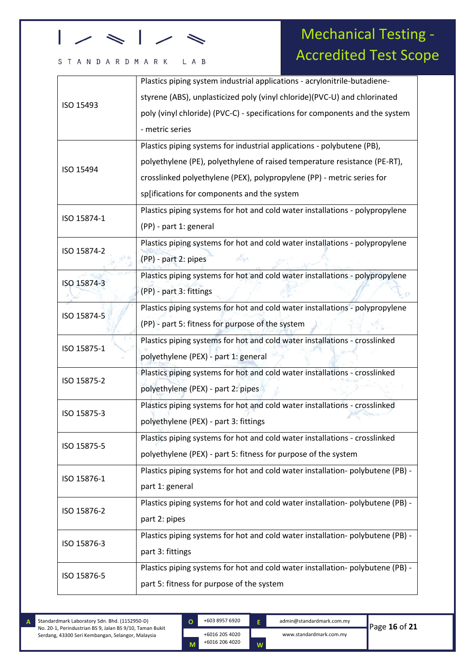### STANDARDMARK LAB

## Mechanical Testing - Accredited Test Scope

|             | Plastics piping system industrial applications - acrylonitrile-butadiene-     |  |
|-------------|-------------------------------------------------------------------------------|--|
| ISO 15493   | styrene (ABS), unplasticized poly (vinyl chloride)(PVC-U) and chlorinated     |  |
|             | poly (vinyl chloride) (PVC-C) - specifications for components and the system  |  |
|             | - metric series                                                               |  |
|             | Plastics piping systems for industrial applications - polybutene (PB),        |  |
|             | polyethylene (PE), polyethylene of raised temperature resistance (PE-RT),     |  |
| ISO 15494   | crosslinked polyethylene (PEX), polypropylene (PP) - metric series for        |  |
|             | sp[ifications for components and the system                                   |  |
|             | Plastics piping systems for hot and cold water installations - polypropylene  |  |
| ISO 15874-1 | (PP) - part 1: general                                                        |  |
|             | Plastics piping systems for hot and cold water installations - polypropylene  |  |
| ISO 15874-2 | de<br>(PP) - part 2: pipes                                                    |  |
|             | Plastics piping systems for hot and cold water installations - polypropylene  |  |
| ISO 15874-3 | (PP) - part 3: fittings                                                       |  |
|             | Plastics piping systems for hot and cold water installations - polypropylene  |  |
| ISO 15874-5 | (PP) - part 5: fitness for purpose of the system                              |  |
|             | Plastics piping systems for hot and cold water installations - crosslinked    |  |
| ISO 15875-1 | polyethylene (PEX) - part 1: general                                          |  |
|             | Plastics piping systems for hot and cold water installations - crosslinked    |  |
| ISO 15875-2 | polyethylene (PEX) - part 2: pipes                                            |  |
| ISO 15875-3 | Plastics piping systems for hot and cold water installations - crosslinked    |  |
|             | polyethylene (PEX) - part 3: fittings                                         |  |
|             | Plastics piping systems for hot and cold water installations - crosslinked    |  |
| ISO 15875-5 | polyethylene (PEX) - part 5: fitness for purpose of the system                |  |
| ISO 15876-1 | Plastics piping systems for hot and cold water installation-polybutene (PB) - |  |
|             | part 1: general                                                               |  |
| ISO 15876-2 | Plastics piping systems for hot and cold water installation-polybutene (PB) - |  |
|             | part 2: pipes                                                                 |  |
| ISO 15876-3 | Plastics piping systems for hot and cold water installation-polybutene (PB) - |  |
|             | part 3: fittings                                                              |  |
|             | Plastics piping systems for hot and cold water installation-polybutene (PB) - |  |
| ISO 15876-5 | part 5: fitness for purpose of the system                                     |  |
|             |                                                                               |  |

Standardmark Laboratory Sdn. Bhd. (1152950-D) No. 20-1, Perindustrian BS 9, Jalan BS 9/10, Taman Bukit Serdang, 43300 Seri Kembangan, Selangor, Malaysia **A**

kkjkkj

+6016 205 4020 +6016 206 4020 **O M**

+603 8957 6920 admin@standardmark.com.my www.standardmark.com.my

**E**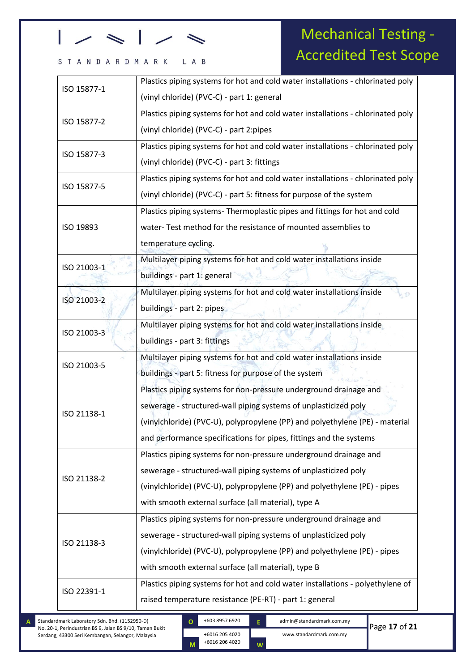#### STANDARDMARK L A B

## Mechanical Testing - Accredited Test Scope

| ISO 15877-1<br>(vinyl chloride) (PVC-C) - part 1: general<br>Plastics piping systems for hot and cold water installations - chlorinated poly<br>ISO 15877-2<br>(vinyl chloride) (PVC-C) - part 2:pipes<br>Plastics piping systems for hot and cold water installations - chlorinated poly<br>ISO 15877-3<br>(vinyl chloride) (PVC-C) - part 3: fittings<br>Plastics piping systems for hot and cold water installations - chlorinated poly<br>ISO 15877-5 |
|-----------------------------------------------------------------------------------------------------------------------------------------------------------------------------------------------------------------------------------------------------------------------------------------------------------------------------------------------------------------------------------------------------------------------------------------------------------|
|                                                                                                                                                                                                                                                                                                                                                                                                                                                           |
|                                                                                                                                                                                                                                                                                                                                                                                                                                                           |
|                                                                                                                                                                                                                                                                                                                                                                                                                                                           |
|                                                                                                                                                                                                                                                                                                                                                                                                                                                           |
|                                                                                                                                                                                                                                                                                                                                                                                                                                                           |
|                                                                                                                                                                                                                                                                                                                                                                                                                                                           |
| (vinyl chloride) (PVC-C) - part 5: fitness for purpose of the system                                                                                                                                                                                                                                                                                                                                                                                      |
| Plastics piping systems- Thermoplastic pipes and fittings for hot and cold                                                                                                                                                                                                                                                                                                                                                                                |
| water-Test method for the resistance of mounted assemblies to<br>ISO 19893                                                                                                                                                                                                                                                                                                                                                                                |
| temperature cycling.                                                                                                                                                                                                                                                                                                                                                                                                                                      |
| Multilayer piping systems for hot and cold water installations inside<br>ISO 21003-1                                                                                                                                                                                                                                                                                                                                                                      |
| buildings - part 1: general                                                                                                                                                                                                                                                                                                                                                                                                                               |
| Multilayer piping systems for hot and cold water installations inside<br>ISO 21003-2                                                                                                                                                                                                                                                                                                                                                                      |
| buildings - part 2: pipes                                                                                                                                                                                                                                                                                                                                                                                                                                 |
| Multilayer piping systems for hot and cold water installations inside<br>ISO 21003-3                                                                                                                                                                                                                                                                                                                                                                      |
| buildings - part 3: fittings                                                                                                                                                                                                                                                                                                                                                                                                                              |
| Multilayer piping systems for hot and cold water installations inside<br>ISO 21003-5                                                                                                                                                                                                                                                                                                                                                                      |
| buildings - part 5: fitness for purpose of the system                                                                                                                                                                                                                                                                                                                                                                                                     |
| Plastics piping systems for non-pressure underground drainage and                                                                                                                                                                                                                                                                                                                                                                                         |
| sewerage - structured-wall piping systems of unplasticized poly<br>ISO 21138-1                                                                                                                                                                                                                                                                                                                                                                            |
| (vinylchloride) (PVC-U), polypropylene (PP) and polyethylene (PE) - material                                                                                                                                                                                                                                                                                                                                                                              |
| and performance specifications for pipes, fittings and the systems                                                                                                                                                                                                                                                                                                                                                                                        |
| Plastics piping systems for non-pressure underground drainage and                                                                                                                                                                                                                                                                                                                                                                                         |
| sewerage - structured-wall piping systems of unplasticized poly<br>ISO 21138-2                                                                                                                                                                                                                                                                                                                                                                            |
| (vinylchloride) (PVC-U), polypropylene (PP) and polyethylene (PE) - pipes                                                                                                                                                                                                                                                                                                                                                                                 |
| with smooth external surface (all material), type A                                                                                                                                                                                                                                                                                                                                                                                                       |
| Plastics piping systems for non-pressure underground drainage and                                                                                                                                                                                                                                                                                                                                                                                         |
| sewerage - structured-wall piping systems of unplasticized poly<br>ISO 21138-3                                                                                                                                                                                                                                                                                                                                                                            |
| (vinylchloride) (PVC-U), polypropylene (PP) and polyethylene (PE) - pipes                                                                                                                                                                                                                                                                                                                                                                                 |
| with smooth external surface (all material), type B                                                                                                                                                                                                                                                                                                                                                                                                       |
| Plastics piping systems for hot and cold water installations - polyethylene of<br>ISO 22391-1                                                                                                                                                                                                                                                                                                                                                             |
| raised temperature resistance (PE-RT) - part 1: general                                                                                                                                                                                                                                                                                                                                                                                                   |

Standardmark Laboratory Sdn. Bhd. (1152950-D) No. 20-1, Perindustrian BS 9, Jalan BS 9/10, Taman Bukit Serdang, 43300 Seri Kembangan, Selangor, Malaysia

kkjkkj

+6016 205 4020 +6016 206 4020 **O M**

+603 8957 6920 admin@standardmark.com.my www.standardmark.com.my **E W**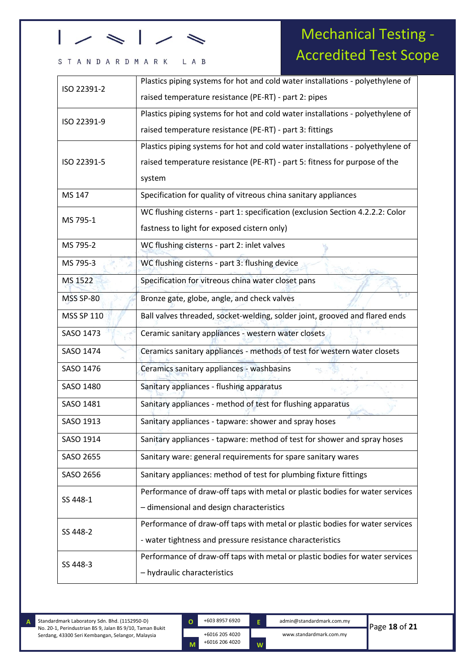#### L A B STANDARDMARK

## Mechanical Testing - Accredited Test Scope

| ISO 22391-2       | Plastics piping systems for hot and cold water installations - polyethylene of |
|-------------------|--------------------------------------------------------------------------------|
|                   | raised temperature resistance (PE-RT) - part 2: pipes                          |
| ISO 22391-9       | Plastics piping systems for hot and cold water installations - polyethylene of |
|                   | raised temperature resistance (PE-RT) - part 3: fittings                       |
|                   | Plastics piping systems for hot and cold water installations - polyethylene of |
| ISO 22391-5       | raised temperature resistance (PE-RT) - part 5: fitness for purpose of the     |
|                   | system                                                                         |
| MS 147            | Specification for quality of vitreous china sanitary appliances                |
| MS 795-1          | WC flushing cisterns - part 1: specification (exclusion Section 4.2.2.2: Color |
|                   | fastness to light for exposed cistern only)                                    |
| MS 795-2          | WC flushing cisterns - part 2: inlet valves                                    |
| MS 795-3          | WC flushing cisterns - part 3: flushing device                                 |
| MS 1522           | Specification for vitreous china water closet pans                             |
| <b>MSS SP-80</b>  | Bronze gate, globe, angle, and check valves                                    |
| <b>MSS SP 110</b> | Ball valves threaded, socket-welding, solder joint, grooved and flared ends    |
| SASO 1473         | Ceramic sanitary appliances - western water closets                            |
| SASO 1474         | Ceramics sanitary appliances - methods of test for western water closets       |
| SASO 1476         | Ceramics sanitary appliances - washbasins                                      |
| SASO 1480         | Sanitary appliances - flushing apparatus                                       |
| SASO 1481         | Sanitary appliances - method of test for flushing apparatus                    |
| SASO 1913         | Sanitary appliances - tapware: shower and spray hoses                          |
| SASO 1914         | Sanitary appliances - tapware: method of test for shower and spray hoses       |
| SASO 2655         | Sanitary ware: general requirements for spare sanitary wares                   |
| SASO 2656         | Sanitary appliances: method of test for plumbing fixture fittings              |
| SS 448-1          | Performance of draw-off taps with metal or plastic bodies for water services   |
|                   | - dimensional and design characteristics                                       |
| SS 448-2          | Performance of draw-off taps with metal or plastic bodies for water services   |
|                   | - water tightness and pressure resistance characteristics                      |
|                   | Performance of draw-off taps with metal or plastic bodies for water services   |
| SS 448-3          | - hydraulic characteristics                                                    |

Standardmark Laboratory Sdn. Bhd. (1152950-D) No. 20-1, Perindustrian BS 9, Jalan BS 9/10, Taman Bukit Serdang, 43300 Seri Kembangan, Selangor, Malaysia **A**

kkjkkj

**O**

**M**

+6016 205 4020 +6016 206 4020

+603 8957 6920 admin@standardmark.com.my **E**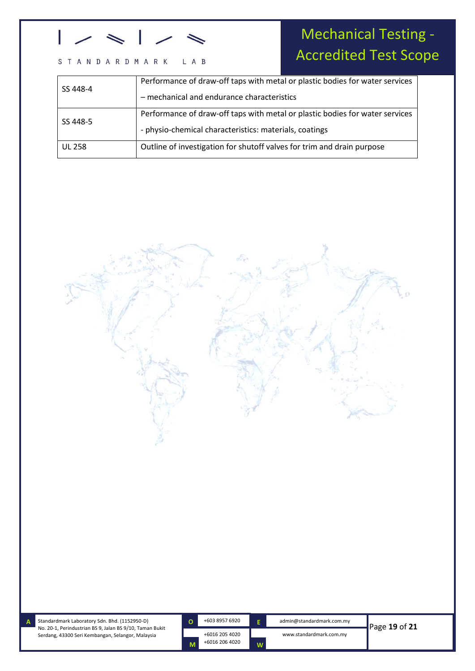#### S T A N D A R D M A R K L A B

## Mechanical Testing - Accredited Test Scope

| SS 448-4      | Performance of draw-off taps with metal or plastic bodies for water services |
|---------------|------------------------------------------------------------------------------|
|               | - mechanical and endurance characteristics                                   |
|               | Performance of draw-off taps with metal or plastic bodies for water services |
| SS 448-5      | - physio-chemical characteristics: materials, coatings                       |
| <b>UL 258</b> | Outline of investigation for shutoff valves for trim and drain purpose       |
|               |                                                                              |



Standardmark Laboratory Sdn. Bhd. (1152950-D) No. 20-1, Perindustrian BS 9, Jalan BS 9/10, Taman Bukit Serdang, 43300 Seri Kembangan, Selangor, Malaysia

**A**

kkjkkj

**O**

**M**

+6016 205 4020 +6016 206 4020

**E**

**W**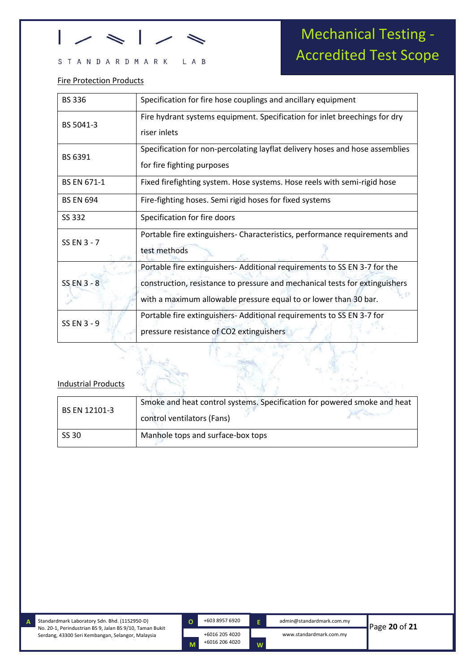#### STANDARDMARK L A B

# Mechanical Testing - Accredited Test Scope

### Fire Protection Products

| <b>BS336</b>       | Specification for fire hose couplings and ancillary equipment                                                                                   |
|--------------------|-------------------------------------------------------------------------------------------------------------------------------------------------|
| BS 5041-3          | Fire hydrant systems equipment. Specification for inlet breechings for dry<br>riser inlets                                                      |
| BS 6391            | Specification for non-percolating layflat delivery hoses and hose assemblies<br>for fire fighting purposes                                      |
| <b>BS EN 671-1</b> | Fixed firefighting system. Hose systems. Hose reels with semi-rigid hose                                                                        |
| <b>BS EN 694</b>   | Fire-fighting hoses. Semi rigid hoses for fixed systems                                                                                         |
| SS 332             | Specification for fire doors                                                                                                                    |
| SS EN 3 - 7        | Portable fire extinguishers- Characteristics, performance requirements and<br>test methods                                                      |
|                    | Portable fire extinguishers-Additional requirements to SS EN 3-7 for the                                                                        |
| <b>SS EN 3 - 8</b> | construction, resistance to pressure and mechanical tests for extinguishers<br>with a maximum allowable pressure equal to or lower than 30 bar. |
| SS EN 3 - 9        | Portable fire extinguishers- Additional requirements to SS EN 3-7 for<br>pressure resistance of CO2 extinguishers                               |

### Industrial Products

| BS EN 12101-3 | Smoke and heat control systems. Specification for powered smoke and heat<br>control ventilators (Fans) |  |
|---------------|--------------------------------------------------------------------------------------------------------|--|
| SS 30         | Manhole tops and surface-box tops                                                                      |  |

**A**

kkjkkj

+603 8957 6920 admin@standardmark.com.my **O**

**M**

+6016 205 4020

+6016 206 4020 **W**

**E**